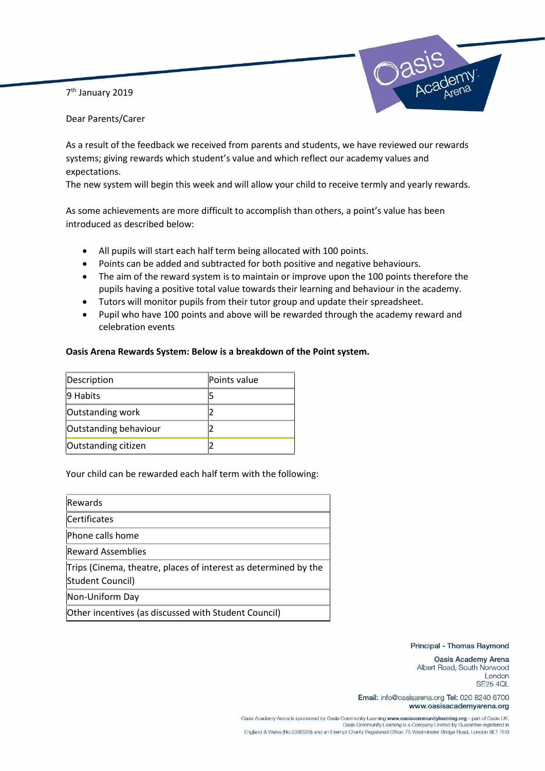7<sup>th</sup> January 2019



Dear Parents/Carer

As a result of the feedback we received from parents and students, we have reviewed our rewards systems; giving rewards which student's value and which reflect our academy values and expectations.

The new system will begin this week and will allow your child to receive termly and yearly rewards.

As some achievements are more difficult to accomplish than others, a point's value has been introduced as described below:

- All pupils will start each half term being allocated with 100 points.
- Points can be added and subtracted for both positive and negative behaviours.
- The aim of the reward system is to maintain or improve upon the 100 points therefore the pupils having a positive total value towards their learning and behaviour in the academy.
- Tutors will monitor pupils from their tutor group and update their spreadsheet.
- Pupil who have 100 points and above will be rewarded through the academy reward and celebration events

## **Oasis Arena Rewards System: Below is a breakdown of the Point system.**

| Description           | Points value |
|-----------------------|--------------|
| 9 Habits              |              |
| Outstanding work      |              |
| Outstanding behaviour |              |
| Outstanding citizen   |              |

## Your child can be rewarded each half term with the following:

| Rewards                                                                             |
|-------------------------------------------------------------------------------------|
| Certificates                                                                        |
| Phone calls home                                                                    |
| <b>Reward Assemblies</b>                                                            |
| Trips (Cinema, theatre, places of interest as determined by the<br>Student Council) |
| Non-Uniform Day                                                                     |
| Other incentives (as discussed with Student Council)                                |

## Principal - Thomas Raymond

Oasis Academy Arena Albert Road, South Norwood London **SE25 4QL** 

Email: info@oasisarena.org Tel: 020 8240 6700 www.oasisacademyarena.org

Oasis Academy Arena is sponsored by Oasis Community Learning www.oasiscommunitylearning.org - part of Oasis UK<br>Oasis Community Learning is a Company Limited by Guarantee registered in England & Wales (No.5398529) and an Exempt Charity Registered Office: 75 Westminster Bridge Road, London SE1 7HS